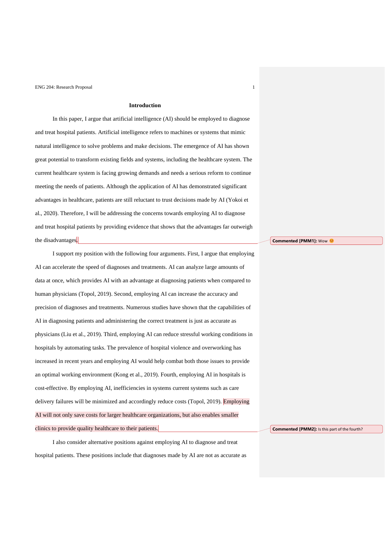### **Introduction**

In this paper, I argue that artificial intelligence (AI) should be employed to diagnose and treat hospital patients. Artificial intelligence refers to machines or systems that mimic natural intelligence to solve problems and make decisions. The emergence of AI has shown great potential to transform existing fields and systems, including the healthcare system. The current healthcare system is facing growing demands and needs a serious reform to continue meeting the needs of patients. Although the application of AI has demonstrated significant advantages in healthcare, patients are still reluctant to trust decisions made by AI (Yokoi et al., 2020). Therefore, I will be addressing the concerns towards employing AI to diagnose and treat hospital patients by providing evidence that shows that the advantages far outweigh the disadvantages.

I support my position with the following four arguments. First, I argue that employing AI can accelerate the speed of diagnoses and treatments. AI can analyze large amounts of data at once, which provides AI with an advantage at diagnosing patients when compared to human physicians (Topol, 2019). Second, employing AI can increase the accuracy and precision of diagnoses and treatments. Numerous studies have shown that the capabilities of AI in diagnosing patients and administering the correct treatment is just as accurate as physicians (Liu et al., 2019). Third, employing AI can reduce stressful working conditions in hospitals by automating tasks. The prevalence of hospital violence and overworking has increased in recent years and employing AI would help combat both those issues to provide an optimal working environment (Kong et al., 2019). Fourth, employing AI in hospitals is cost-effective. By employing AI, inefficiencies in systems current systems such as care delivery failures will be minimized and accordingly reduce costs (Topol, 2019). Employing AI will not only save costs for larger healthcare organizations, but also enables smaller clinics to provide quality healthcare to their patients.

I also consider alternative positions against employing AI to diagnose and treat hospital patients. These positions include that diagnoses made by AI are not as accurate as **Commented [PMM1]:** Wow

**Commented [PMM2]:** Is this part of the fourth?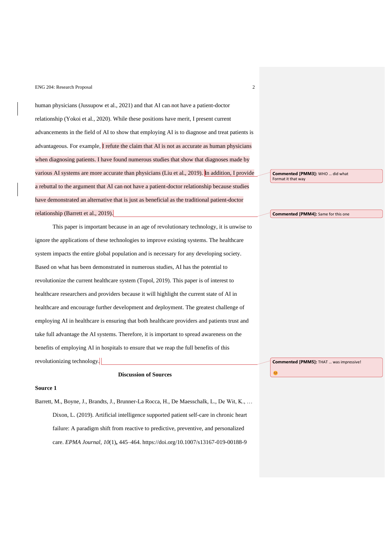human physicians (Jussupow et al., 2021) and that AI can-not have a patient-doctor relationship (Yokoi et al., 2020). While these positions have merit, I present current advancements in the field of AI to show that employing AI is to diagnose and treat patients is advantageous. For example, I refute the claim that AI is not as accurate as human physicians when diagnosing patients. I have found numerous studies that show that diagnoses made by various AI systems are more accurate than physicians (Liu et al., 2019). In addition, I provide a rebuttal to the argument that AI can not have a patient-doctor relationship because studies have demonstrated an alternative that is just as beneficial as the traditional patient-doctor relationship (Barrett et al., 2019).

This paper is important because in an age of revolutionary technology, it is unwise to ignore the applications of these technologies to improve existing systems. The healthcare system impacts the entire global population and is necessary for any developing society. Based on what has been demonstrated in numerous studies, AI has the potential to revolutionize the current healthcare system (Topol, 2019). This paper is of interest to healthcare researchers and providers because it will highlight the current state of AI in healthcare and encourage further development and deployment. The greatest challenge of employing AI in healthcare is ensuring that both healthcare providers and patients trust and take full advantage the AI systems. Therefore, it is important to spread awareness on the benefits of employing AI in hospitals to ensure that we reap the full benefits of this revolutionizing technology.

## **Discussion of Sources**

#### **Source 1**

Barrett, M., Boyne, J., Brandts, J., Brunner-La Rocca, H., De Maesschalk, L., De Wit, K., … Dixon, L. (2019). Artificial intelligence supported patient self-care in chronic heart failure: A paradigm shift from reactive to predictive, preventive, and personalized care. *EPMA Journal*, *10*(1)**,** 445–464. https://doi.org/10.1007/s13167-019-00188-9

**Commented [PMM3]:** WHO … did what Format it that way

**Commented [PMM4]:** Same for this one

**Commented [PMM5]:** THAT … was impressive!

C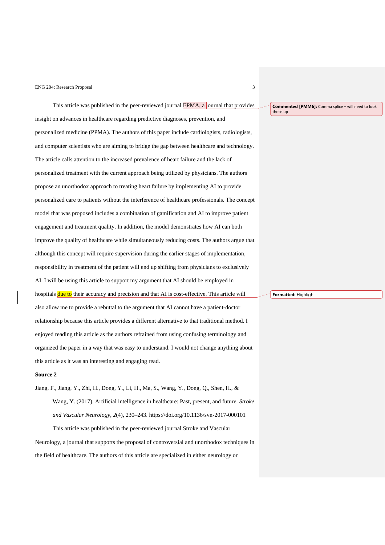This article was published in the peer-reviewed journal EPMA, a journal that provides insight on advances in healthcare regarding predictive diagnoses, prevention, and personalized medicine (PPMA). The authors of this paper include cardiologists, radiologists, and computer scientists who are aiming to bridge the gap between healthcare and technology. The article calls attention to the increased prevalence of heart failure and the lack of personalized treatment with the current approach being utilized by physicians. The authors propose an unorthodox approach to treating heart failure by implementing AI to provide personalized care to patients without the interference of healthcare professionals. The concept model that was proposed includes a combination of gamification and AI to improve patient engagement and treatment quality. In addition, the model demonstrates how AI can both improve the quality of healthcare while simultaneously reducing costs. The authors argue that although this concept will require supervision during the earlier stages of implementation, responsibility in treatment of the patient will end up shifting from physicians to exclusively AI. I will be using this article to support my argument that AI should be employed in hospitals due to their accuracy and precision and that AI is cost-effective. This article will also allow me to provide a rebuttal to the argument that AI cannot have a patient-doctor relationship because this article provides a different alternative to that traditional method. I enjoyed reading this article as the authors refrained from using confusing terminology and organized the paper in a way that was easy to understand. I would not change anything about this article as it was an interesting and engaging read.

### **Source 2**

Jiang, F., Jiang, Y., Zhi, H., Dong, Y., Li, H., Ma, S., Wang, Y., Dong, Q., Shen, H., & Wang, Y. (2017). Artificial intelligence in healthcare: Past, present, and future. *Stroke and Vascular Neurology*, *2*(4), 230–243. https://doi.org/10.1136/svn-2017-000101

This article was published in the peer-reviewed journal Stroke and Vascular Neurology, a journal that supports the proposal of controversial and unorthodox techniques in the field of healthcare. The authors of this article are specialized in either neurology or

**Commented [PMM6]:** Comma splice – will need to look those up

**Formatted:** Highlight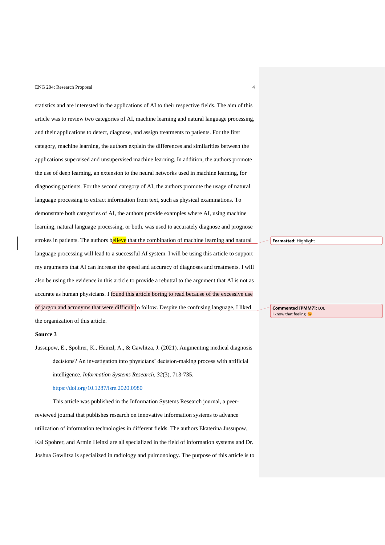statistics and are interested in the applications of AI to their respective fields. The aim of this article was to review two categories of AI, machine learning and natural language processing, and their applications to detect, diagnose, and assign treatments to patients. For the first category, machine learning, the authors explain the differences and similarities between the applications supervised and unsupervised machine learning. In addition, the authors promote the use of deep learning, an extension to the neural networks used in machine learning, for diagnosing patients. For the second category of AI, the authors promote the usage of natural language processing to extract information from text, such as physical examinations. To demonstrate both categories of AI, the authors provide examples where AI, using machine learning, natural language processing, or both, was used to accurately diagnose and prognose strokes in patients. The authors believe that the combination of machine learning and natural language processing will lead to a successful AI system. I will be using this article to support my arguments that AI can increase the speed and accuracy of diagnoses and treatments. I will also be using the evidence in this article to provide a rebuttal to the argument that AI is not as accurate as human physicians. I found this article boring to read because of the excessive use of jargon and acronyms that were difficult to follow. Despite the confusing language, I liked the organization of this article.

### **Source 3**

Jussupow, E., Spohrer, K., Heinzl, A., & Gawlitza, J. (2021). Augmenting medical diagnosis decisions? An investigation into physicians' decision-making process with artificial intelligence. *Information Systems Research*, *32*(3), 713-735.

# <https://doi.org/10.1287/isre.2020.0980>

This article was published in the Information Systems Research journal, a peerreviewed journal that publishes research on innovative information systems to advance utilization of information technologies in different fields. The authors Ekaterina Jussupow, Kai Spohrer, and Armin Heinzl are all specialized in the field of information systems and Dr. Joshua Gawlitza is specialized in radiology and pulmonology. The purpose of this article is to **Formatted:** Highlight

**Commented [PMM7]:** LOL I know that feeling €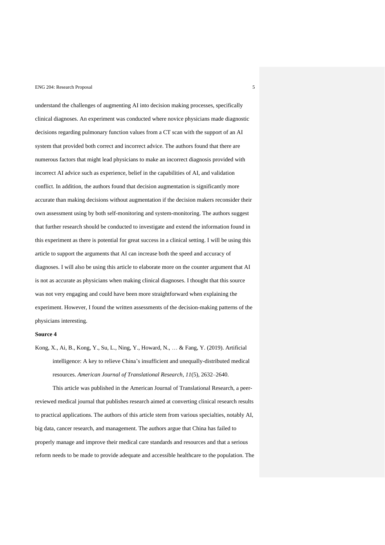understand the challenges of augmenting AI into decision making processes, specifically clinical diagnoses. An experiment was conducted where novice physicians made diagnostic decisions regarding pulmonary function values from a CT scan with the support of an AI system that provided both correct and incorrect advice. The authors found that there are numerous factors that might lead physicians to make an incorrect diagnosis provided with incorrect AI advice such as experience, belief in the capabilities of AI, and validation conflict. In addition, the authors found that decision augmentation is significantly more accurate than making decisions without augmentation if the decision makers reconsider their own assessment using by both self-monitoring and system-monitoring. The authors suggest that further research should be conducted to investigate and extend the information found in this experiment as there is potential for great success in a clinical setting. I will be using this article to support the arguments that AI can increase both the speed and accuracy of diagnoses. I will also be using this article to elaborate more on the counter argument that AI is not as accurate as physicians when making clinical diagnoses. I thought that this source was not very engaging and could have been more straightforward when explaining the experiment. However, I found the written assessments of the decision-making patterns of the physicians interesting.

### **Source 4**

Kong, X., Ai, B., Kong, Y., Su, L., Ning, Y., Howard, N., … & Fang, Y. (2019). Artificial intelligence: A key to relieve China's insufficient and unequally-distributed medical resources. *American Journal of Translational Research*, *11*(5), 2632–2640.

This article was published in the American Journal of Translational Research, a peerreviewed medical journal that publishes research aimed at converting clinical research results to practical applications. The authors of this article stem from various specialties, notably AI, big data, cancer research, and management. The authors argue that China has failed to properly manage and improve their medical care standards and resources and that a serious reform needs to be made to provide adequate and accessible healthcare to the population. The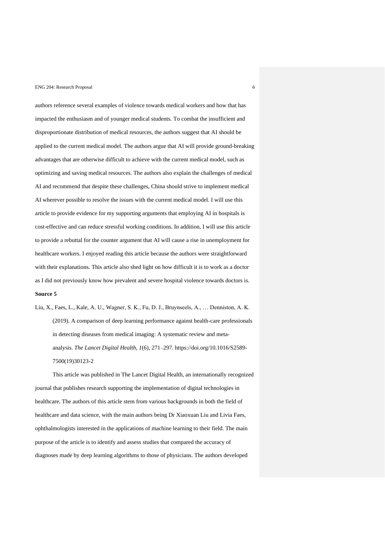authors reference several examples of violence towards medical workers and how that has impacted the enthusiasm and of younger medical students. To combat the insufficient and disproportionate distribution of medical resources, the authors suggest that AI should be applied to the current medical model. The authors argue that AI will provide ground-breaking advantages that are otherwise difficult to achieve with the current medical model, such as optimizing and saving medical resources. The authors also explain the challenges of medical AI and recommend that despite these challenges, China should strive to implement medical AI wherever possible to resolve the issues with the current medical model. I will use this article to provide evidence for my supporting arguments that employing AI in hospitals is cost-effective and can reduce stressful working conditions. In addition, I will use this article to provide a rebuttal for the counter argument that AI will cause a rise in unemployment for healthcare workers. I enjoyed reading this article because the authors were straightforward with their explanations. This article also shed light on how difficult it is to work as a doctor as I did not previously know how prevalent and severe hospital violence towards doctors is. **Source 5**

Liu, X., Faes, L., Kale, A. U., Wagner, S. K., Fu, D. J., Bruynseels, A., … Denniston, A. K. (2019). A comparison of deep learning performance against health-care professionals in detecting diseases from medical imaging: A systematic review and metaanalysis. *The Lancet Digital Health*, *1*(6), 271–297. https://doi.org/10.1016/S2589- 7500(19)30123-2

This article was published in The Lancet Digital Health, an internationally recognized journal that publishes research supporting the implementation of digital technologies in healthcare. The authors of this article stem from various backgrounds in both the field of healthcare and data science, with the main authors being Dr Xiaoxuan Liu and Livia Faes, ophthalmologists interested in the applications of machine learning to their field. The main purpose of the article is to identify and assess studies that compared the accuracy of diagnoses made by deep learning algorithms to those of physicians. The authors developed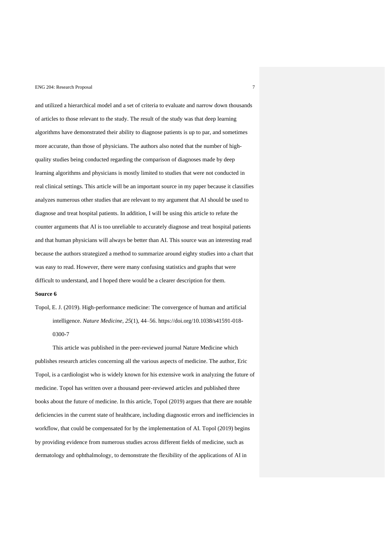and utilized a hierarchical model and a set of criteria to evaluate and narrow down thousands of articles to those relevant to the study. The result of the study was that deep learning algorithms have demonstrated their ability to diagnose patients is up to par, and sometimes more accurate, than those of physicians. The authors also noted that the number of highquality studies being conducted regarding the comparison of diagnoses made by deep learning algorithms and physicians is mostly limited to studies that were not conducted in real clinical settings. This article will be an important source in my paper because it classifies analyzes numerous other studies that are relevant to my argument that AI should be used to diagnose and treat hospital patients. In addition, I will be using this article to refute the counter arguments that AI is too unreliable to accurately diagnose and treat hospital patients and that human physicians will always be better than AI. This source was an interesting read because the authors strategized a method to summarize around eighty studies into a chart that was easy to read. However, there were many confusing statistics and graphs that were difficult to understand, and I hoped there would be a clearer description for them.

## **Source 6**

Topol, E. J. (2019). High-performance medicine: The convergence of human and artificial intelligence. *Nature Medicine*, *25*(1), 44–56. https://doi.org/10.1038/s41591-018- 0300-7

This article was published in the peer-reviewed journal Nature Medicine which publishes research articles concerning all the various aspects of medicine. The author, Eric Topol, is a cardiologist who is widely known for his extensive work in analyzing the future of medicine. Topol has written over a thousand peer-reviewed articles and published three books about the future of medicine. In this article, Topol (2019) argues that there are notable deficiencies in the current state of healthcare, including diagnostic errors and inefficiencies in workflow, that could be compensated for by the implementation of AI. Topol (2019) begins by providing evidence from numerous studies across different fields of medicine, such as dermatology and ophthalmology, to demonstrate the flexibility of the applications of AI in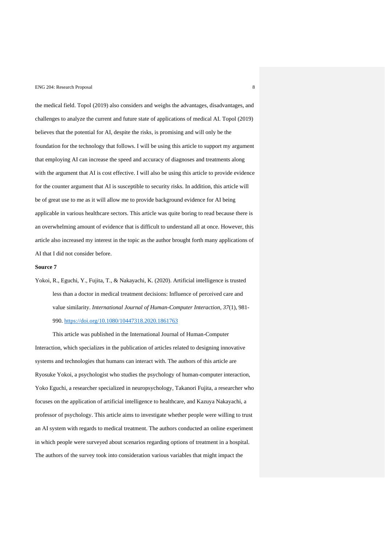the medical field. Topol (2019) also considers and weighs the advantages, disadvantages, and challenges to analyze the current and future state of applications of medical AI. Topol (2019) believes that the potential for AI, despite the risks, is promising and will only be the foundation for the technology that follows. I will be using this article to support my argument that employing AI can increase the speed and accuracy of diagnoses and treatments along with the argument that AI is cost effective. I will also be using this article to provide evidence for the counter argument that AI is susceptible to security risks. In addition, this article will be of great use to me as it will allow me to provide background evidence for AI being applicable in various healthcare sectors. This article was quite boring to read because there is an overwhelming amount of evidence that is difficult to understand all at once. However, this article also increased my interest in the topic as the author brought forth many applications of AI that I did not consider before.

## **Source 7**

Yokoi, R., Eguchi, Y., Fujita, T., & Nakayachi, K. (2020). Artificial intelligence is trusted less than a doctor in medical treatment decisions: Influence of perceived care and value similarity. *International Journal of Human-Computer Interaction*, *37*(1), 981- 990.<https://doi.org/10.1080/10447318.2020.1861763>

This article was published in the International Journal of Human-Computer Interaction, which specializes in the publication of articles related to designing innovative systems and technologies that humans can interact with. The authors of this article are Ryosuke Yokoi, a psychologist who studies the psychology of human-computer interaction, Yoko Eguchi, a researcher specialized in neuropsychology, Takanori Fujita, a researcher who focuses on the application of artificial intelligence to healthcare, and Kazuya Nakayachi, a professor of psychology. This article aims to investigate whether people were willing to trust an AI system with regards to medical treatment. The authors conducted an online experiment in which people were surveyed about scenarios regarding options of treatment in a hospital. The authors of the survey took into consideration various variables that might impact the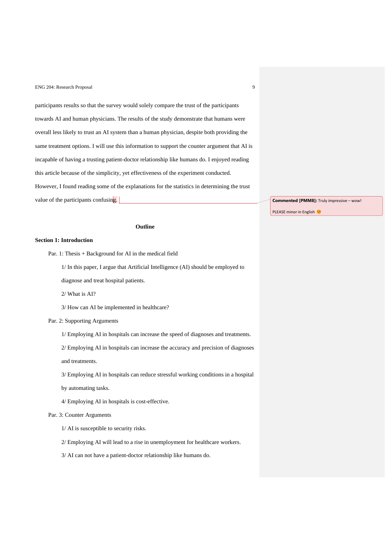participants results so that the survey would solely compare the trust of the participants towards AI and human physicians. The results of the study demonstrate that humans were overall less likely to trust an AI system than a human physician, despite both providing the same treatment options. I will use this information to support the counter argument that AI is incapable of having a trusting patient-doctor relationship like humans do. I enjoyed reading this article because of the simplicity, yet effectiveness of the experiment conducted. However, I found reading some of the explanations for the statistics in determining the trust value of the participants confusing.

**Outline**

# **Section 1: Introduction**

- Par. 1: Thesis + Background for AI in the medical field
	- 1/ In this paper, I argue that Artificial Intelligence (AI) should be employed to diagnose and treat hospital patients.
	- 2/ What is AI?

3/ How can AI be implemented in healthcare?

- Par. 2: Supporting Arguments
	- 1/ Employing AI in hospitals can increase the speed of diagnoses and treatments.
	- 2/ Employing AI in hospitals can increase the accuracy and precision of diagnoses
	- and treatments.
	- 3/ Employing AI in hospitals can reduce stressful working conditions in a hospital
	- by automating tasks.
	- 4/ Employing AI in hospitals is cost-effective.

# Par. 3: Counter Arguments

- 1/ AI is susceptible to security risks.
- 2/ Employing AI will lead to a rise in unemployment for healthcare workers.
- 3/ AI can not have a patient-doctor relationship like humans do.

**Commented [PMM8]:** Truly impressive – wow!

PLEASE minor in English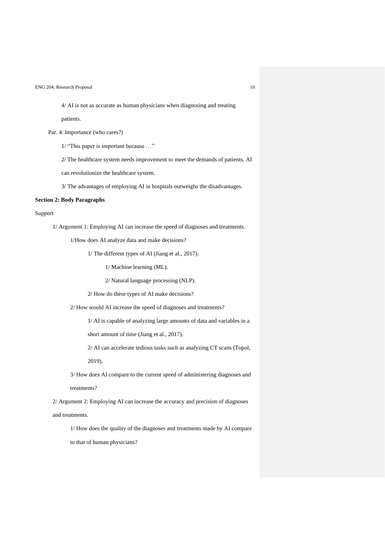4/ AI is not as accurate as human physicians when diagnosing and treating

patients.

Par. 4: Importance (who cares?)

1/ "This paper is important because …"

2/ The healthcare system needs improvement to meet the demands of patients. AI

can revolutionize the healthcare system.

3/ The advantages of employing AI in hospitals outweighs the disadvantages.

## **Section 2: Body Paragraphs**

## Support

1/ Argument 1: Employing AI can increase the speed of diagnoses and treatments.

1/How does AI analyze data and make decisions?

1/ The different types of AI (Jiang et al., 2017).

1/ Machine learning (ML).

2/ Natural language processing (NLP).

2/ How do these types of AI make decisions?

2/ How would AI increase the speed of diagnoses and treatments?

1/ AI is capable of analyzing large amounts of data and variables in a

short amount of time (Jiang et al., 2017).

2/ AI can accelerate tedious tasks such as analyzing CT scans (Topol,

2019).

3/ How does AI compare to the current speed of administering diagnoses and

treatments?

2/ Argument 2: Employing AI can increase the accuracy and precision of diagnoses and treatments.

1/ How does the quality of the diagnoses and treatments made by AI compare to that of human physicians?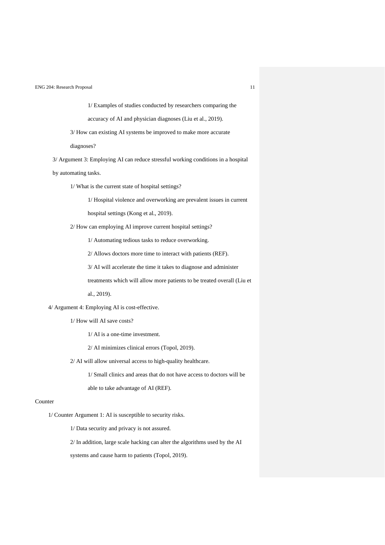1/ Examples of studies conducted by researchers comparing the accuracy of AI and physician diagnoses (Liu et al., 2019).

3/ How can existing AI systems be improved to make more accurate

diagnoses?

3/ Argument 3: Employing AI can reduce stressful working conditions in a hospital

by automating tasks.

1/ What is the current state of hospital settings?

1/ Hospital violence and overworking are prevalent issues in current

hospital settings (Kong et al., 2019).

2/ How can employing AI improve current hospital settings?

1/ Automating tedious tasks to reduce overworking.

2/ Allows doctors more time to interact with patients (REF).

3/ AI will accelerate the time it takes to diagnose and administer

treatments which will allow more patients to be treated overall (Liu et

al., 2019).

4/ Argument 4: Employing AI is cost-effective.

1/ How will AI save costs?

1/ AI is a one-time investment.

2/ AI minimizes clinical errors (Topol, 2019).

2/ AI will allow universal access to high-quality healthcare.

1/ Small clinics and areas that do not have access to doctors will be

able to take advantage of AI (REF).

# Counter

1/ Counter Argument 1: AI is susceptible to security risks.

1/ Data security and privacy is not assured.

2/ In addition, large scale hacking can alter the algorithms used by the AI

systems and cause harm to patients (Topol, 2019).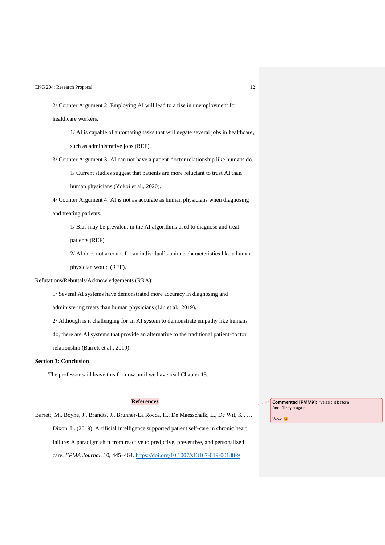2/ Counter Argument 2: Employing AI will lead to a rise in unemployment for healthcare workers.

1/ AI is capable of automating tasks that will negate several jobs in healthcare, such as administrative jobs (REF).

3/ Counter Argument 3: AI can not have a patient-doctor relationship like humans do.

1/ Current studies suggest that patients are more reluctant to trust AI than

human physicians (Yokoi et al., 2020).

4/ Counter Argument 4: AI is not as accurate as human physicians when diagnosing and treating patients.

1/ Bias may be prevalent in the AI algorithms used to diagnose and treat patients (REF).

2/ AI does not account for an individual's unique characteristics like a human physician would (REF).

Refutations/Rebuttals/Acknowledgements (RRA):

1/ Several AI systems have demonstrated more accuracy in diagnosing and

administering treats than human physicians (Liu et al., 2019).

2/ Although is it challenging for an AI system to demonstrate empathy like humans

do, there are AI systems that provide an alternative to the traditional patient-doctor relationship (Barrett et al., 2019).

### **Section 3: Conclusion**

The professor said leave this for now until we have read Chapter 15.

# **References**

Barrett, M., Boyne, J., Brandts, J., Brunner-La Rocca, H., De Maesschalk, L., De Wit, K., … Dixon, L. (2019). Artificial intelligence supported patient self-care in chronic heart failure: A paradigm shift from reactive to predictive, preventive, and personalized care. *EPMA Journal*, 10**,** 445–464.<https://doi.org/10.1007/s13167-019-00188-9>

**Commented [PMM9]:** I've said it before And I'll say it again

Wow<sup>c</sup>